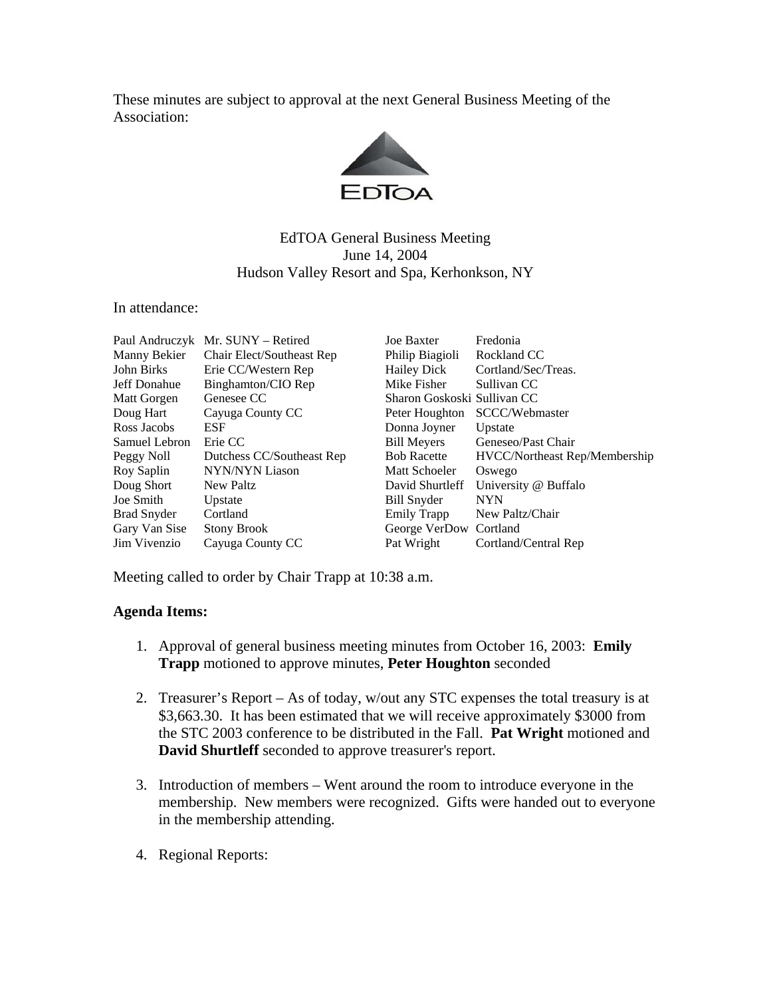These minutes are subject to approval at the next General Business Meeting of the Association:



## EdTOA General Business Meeting June 14, 2004 Hudson Valley Resort and Spa, Kerhonkson, NY

In attendance:

|               | Paul Andruczyk Mr. SUNY – Retired | <b>Joe Baxter</b>           | Fredonia                      |
|---------------|-----------------------------------|-----------------------------|-------------------------------|
| Manny Bekier  | Chair Elect/Southeast Rep         | Philip Biagioli             | Rockland CC                   |
| John Birks    | Erie CC/Western Rep               | <b>Hailey Dick</b>          | Cortland/Sec/Treas.           |
| Jeff Donahue  | Binghamton/CIO Rep                | Mike Fisher                 | Sullivan CC                   |
| Matt Gorgen   | Genesee CC                        | Sharon Goskoski Sullivan CC |                               |
| Doug Hart     | Cayuga County CC                  | Peter Houghton              | SCCC/Webmaster                |
| Ross Jacobs   | <b>ESF</b>                        | Donna Joyner                | Upstate                       |
| Samuel Lebron | Erie CC                           | <b>Bill Meyers</b>          | Geneseo/Past Chair            |
| Peggy Noll    | Dutchess CC/Southeast Rep         | <b>Bob Racette</b>          | HVCC/Northeast Rep/Membership |
| Roy Saplin    | <b>NYN/NYN Liason</b>             | <b>Matt Schoeler</b>        | Oswego                        |
| Doug Short    | New Paltz                         | David Shurtleff             | University @ Buffalo          |
| Joe Smith     | Upstate                           | Bill Snyder                 | <b>NYN</b>                    |
| Brad Snyder   | Cortland                          | Emily Trapp                 | New Paltz/Chair               |
| Gary Van Sise | <b>Stony Brook</b>                | George VerDow Cortland      |                               |
| Jim Vivenzio  | Cayuga County CC                  | Pat Wright                  | Cortland/Central Rep          |

Meeting called to order by Chair Trapp at 10:38 a.m.

## **Agenda Items:**

- 1. Approval of general business meeting minutes from October 16, 2003: **Emily Trapp** motioned to approve minutes, **Peter Houghton** seconded
- 2. Treasurer's Report As of today, w/out any STC expenses the total treasury is at \$3,663.30. It has been estimated that we will receive approximately \$3000 from the STC 2003 conference to be distributed in the Fall. **Pat Wright** motioned and **David Shurtleff** seconded to approve treasurer's report.
- 3. Introduction of members Went around the room to introduce everyone in the membership. New members were recognized. Gifts were handed out to everyone in the membership attending.
- 4. Regional Reports: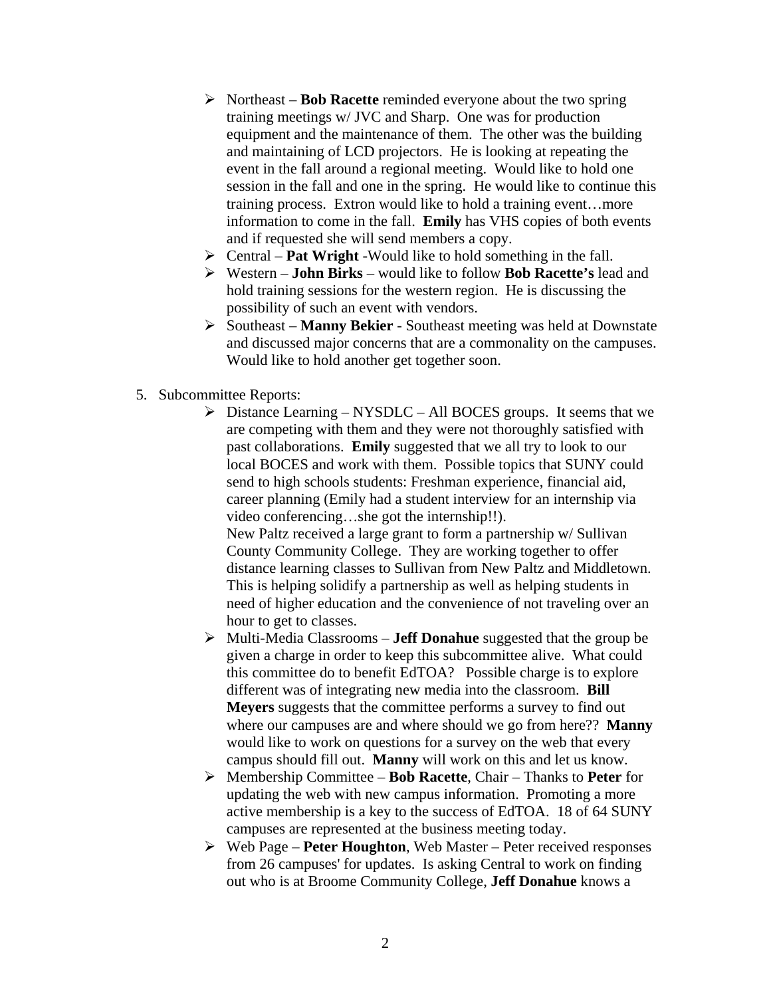- ¾ Northeast **Bob Racette** reminded everyone about the two spring training meetings w/ JVC and Sharp. One was for production equipment and the maintenance of them. The other was the building and maintaining of LCD projectors. He is looking at repeating the event in the fall around a regional meeting. Would like to hold one session in the fall and one in the spring. He would like to continue this training process. Extron would like to hold a training event…more information to come in the fall. **Emily** has VHS copies of both events and if requested she will send members a copy.
- ¾ Central **Pat Wright** -Would like to hold something in the fall.
- ¾ Western **John Birks** would like to follow **Bob Racette's** lead and hold training sessions for the western region. He is discussing the possibility of such an event with vendors.
- ¾ Southeast **Manny Bekier** Southeast meeting was held at Downstate and discussed major concerns that are a commonality on the campuses. Would like to hold another get together soon.
- 5. Subcommittee Reports:
	- $\triangleright$  Distance Learning NYSDLC All BOCES groups. It seems that we are competing with them and they were not thoroughly satisfied with past collaborations. **Emily** suggested that we all try to look to our local BOCES and work with them. Possible topics that SUNY could send to high schools students: Freshman experience, financial aid, career planning (Emily had a student interview for an internship via video conferencing…she got the internship!!). New Paltz received a large grant to form a partnership w/ Sullivan

County Community College. They are working together to offer distance learning classes to Sullivan from New Paltz and Middletown. This is helping solidify a partnership as well as helping students in need of higher education and the convenience of not traveling over an hour to get to classes.

- ¾ Multi-Media Classrooms **Jeff Donahue** suggested that the group be given a charge in order to keep this subcommittee alive. What could this committee do to benefit EdTOA? Possible charge is to explore different was of integrating new media into the classroom. **Bill Meyers** suggests that the committee performs a survey to find out where our campuses are and where should we go from here?? **Manny** would like to work on questions for a survey on the web that every campus should fill out. **Manny** will work on this and let us know.
- ¾ Membership Committee **Bob Racette**, Chair Thanks to **Peter** for updating the web with new campus information. Promoting a more active membership is a key to the success of EdTOA. 18 of 64 SUNY campuses are represented at the business meeting today.
- ¾ Web Page **Peter Houghton**, Web Master Peter received responses from 26 campuses' for updates. Is asking Central to work on finding out who is at Broome Community College, **Jeff Donahue** knows a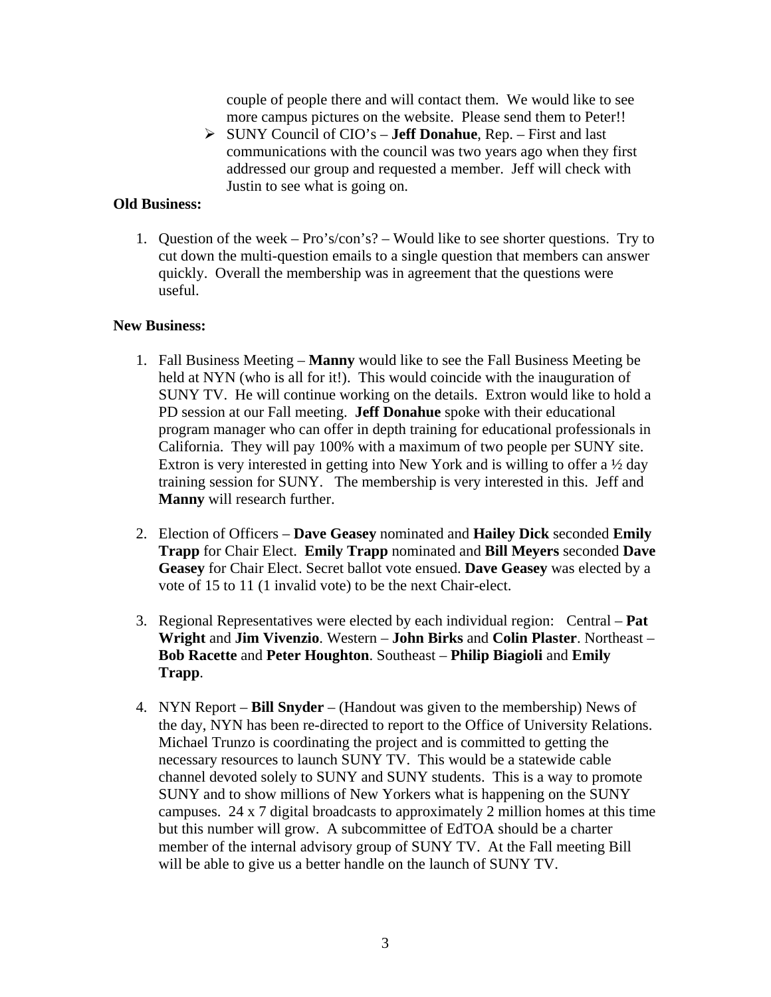couple of people there and will contact them. We would like to see more campus pictures on the website. Please send them to Peter!!

¾ SUNY Council of CIO's – **Jeff Donahue**, Rep. – First and last communications with the council was two years ago when they first addressed our group and requested a member. Jeff will check with Justin to see what is going on.

## **Old Business:**

1. Question of the week – Pro's/con's? – Would like to see shorter questions. Try to cut down the multi-question emails to a single question that members can answer quickly. Overall the membership was in agreement that the questions were useful.

## **New Business:**

- 1. Fall Business Meeting **Manny** would like to see the Fall Business Meeting be held at NYN (who is all for it!). This would coincide with the inauguration of SUNY TV. He will continue working on the details. Extron would like to hold a PD session at our Fall meeting. **Jeff Donahue** spoke with their educational program manager who can offer in depth training for educational professionals in California. They will pay 100% with a maximum of two people per SUNY site. Extron is very interested in getting into New York and is willing to offer a ½ day training session for SUNY. The membership is very interested in this. Jeff and **Manny** will research further.
- 2. Election of Officers **Dave Geasey** nominated and **Hailey Dick** seconded **Emily Trapp** for Chair Elect. **Emily Trapp** nominated and **Bill Meyers** seconded **Dave Geasey** for Chair Elect. Secret ballot vote ensued. **Dave Geasey** was elected by a vote of 15 to 11 (1 invalid vote) to be the next Chair-elect.
- 3. Regional Representatives were elected by each individual region: Central **Pat Wright** and **Jim Vivenzio**. Western – **John Birks** and **Colin Plaster**. Northeast – **Bob Racette** and **Peter Houghton**. Southeast – **Philip Biagioli** and **Emily Trapp**.
- 4. NYN Report **Bill Snyder** (Handout was given to the membership) News of the day, NYN has been re-directed to report to the Office of University Relations. Michael Trunzo is coordinating the project and is committed to getting the necessary resources to launch SUNY TV. This would be a statewide cable channel devoted solely to SUNY and SUNY students. This is a way to promote SUNY and to show millions of New Yorkers what is happening on the SUNY campuses. 24 x 7 digital broadcasts to approximately 2 million homes at this time but this number will grow. A subcommittee of EdTOA should be a charter member of the internal advisory group of SUNY TV. At the Fall meeting Bill will be able to give us a better handle on the launch of SUNY TV.